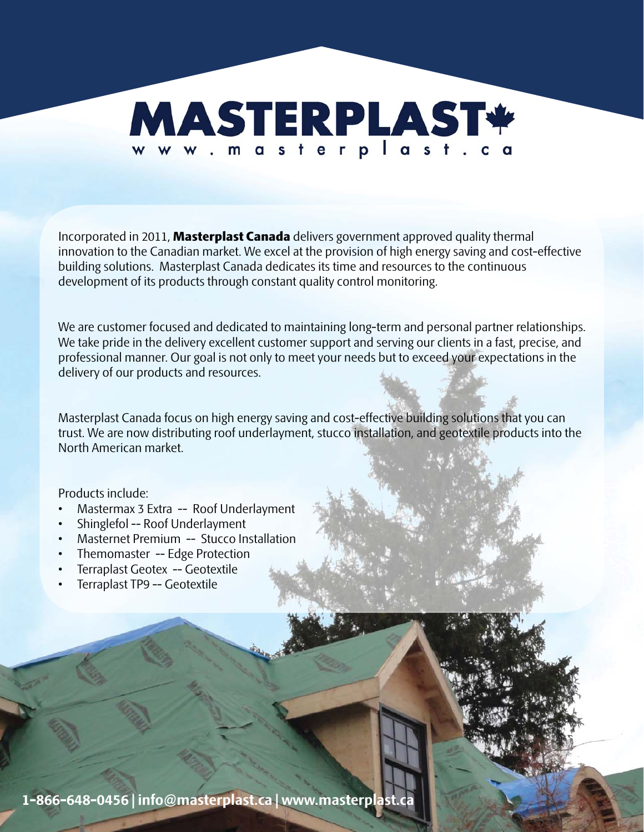

Incorporated in 2011, Masterplast Canada delivers government approved quality thermal innovation to the Canadian market. We excel at the provision of high energy saving and cost-effective building solutions. Masterplast Canada dedicates its time and resources to the continuous development of its products through constant quality control monitoring.

We are customer focused and dedicated to maintaining long-term and personal partner relationships. We take pride in the delivery excellent customer support and serving our clients in a fast, precise, and professional manner. Our goal is not only to meet your needs but to exceed your expectations in the delivery of our products and resources.

Masterplast Canada focus on high energy saving and cost-effective building solutions that you can trust. We are now distributing roof underlayment, stucco installation, and geotextile products into the North American market.

Products include:

- Mastermax 3 Extra -- Roof Underlayment
- Shinglefol -- Roof Underlayment
- Masternet Premium -- Stucco Installation
- Themomaster -- Edge Protection
- Terraplast Geotex -- Geotextile
- Terraplast TP9 -- Geotextile

**1-866-648-0456 | info@masterplast.ca | www.masterplast.ca**